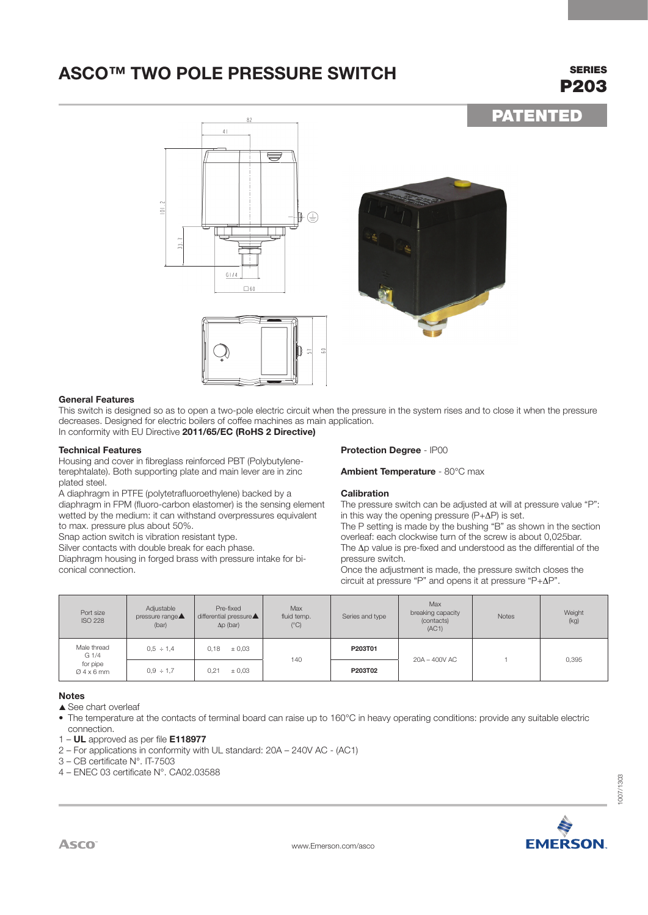## **ASCO™ TWO POLE PRESSURE SWITCH SERIES**

# P203

PATENTED

82 41 **I** <sup>I</sup> \ *<sup>F</sup>* **'----7** ' **<sup>I</sup>** *I*<sub>I</sub>  $\frac{1}{2}$  $101.7$ **<sup>I</sup>**- <sup>I</sup>- **<sup>I</sup>**... . . .\_. I **l\_i**  -� r-- - - ' (Y') I **<sup>I</sup> I I I I I I I I I I I I I I I I** I I **J <sup>I</sup>** I  $\frac{G1}{4}$  $\Box$  60 ·-,\_ / , r "-1"- \ *I 'vi* 





### **General Features**

This switch is designed so as to open a two-pole electric circuit when the pressure in the system rises and to close it when the pressure decreases. Designed for electric boilers of coffee machines as main application. In conformity with EU Directive **2011/65/EC (RoHS 2 Directive)**

### **Technical Features**

Housing and cover in fibreglass reinforced PBT (Polybutyleneterephtalate). Both supporting plate and main lever are in zinc plated steel.

A diaphragm in PTFE (polytetrafluoroethylene) backed by a

diaphragm in FPM (fluoro-carbon elastomer) is the sensing element wetted by the medium: it can withstand overpressures equivalent to max. pressure plus about 50%.

Snap action switch is vibration resistant type.

Silver contacts with double break for each phase.

Diaphragm housing in forged brass with pressure intake for biconical connection.

### **Protection Degree** - IP00

**Ambient Temperature** - 80°C max

### **Calibration**

The pressure switch can be adjusted at will at pressure value "P": in this way the opening pressure (P+∆P) is set.

The P setting is made by the bushing "B" as shown in the section overleaf: each clockwise turn of the screw is about 0,025bar. The ∆p value is pre-fixed and understood as the differential of the pressure switch.

Once the adjustment is made, the pressure switch closes the circuit at pressure "P" and opens it at pressure "P+∆P".

| Port size<br><b>ISO 228</b>                              | Adjustable<br>pressure range▲<br>(bar) | Pre-fixed<br>differential pressure <b>A</b><br>$\Delta p$ (bar) | <b>Max</b><br>fluid temp.<br>$(^{\circ}C)$ | Series and type | Max<br>breaking capacity<br>(contacts)<br>(AC1) | <b>Notes</b> | Weight<br>(kg) |
|----------------------------------------------------------|----------------------------------------|-----------------------------------------------------------------|--------------------------------------------|-----------------|-------------------------------------------------|--------------|----------------|
| Male thread<br>G <sub>1/4</sub><br>for pipe<br>$04x6$ mm | $0.5 \div 1.4$                         | ± 0,03<br>0.18                                                  | 140                                        | P203T01         | 20A - 400V AC                                   |              | 0,395          |
|                                                          | $0.9 \div 1.7$                         | ± 0,03<br>0.21                                                  |                                            | P203T02         |                                                 |              |                |

### **Notes**

 $\triangle$  See chart overleaf

• The temperature at the contacts of terminal board can raise up to 160°C in heavy operating conditions: provide any suitable electric connection.

- 1 **UL** approved as per file **E118977**
- 2 For applications in conformity with UL standard: 20A 240V AC (AC1)
- 3 CB certificate N°. IT-7503
- 4 ENEC 03 certificate N°. CA02.03588



1007/1303

007/1303